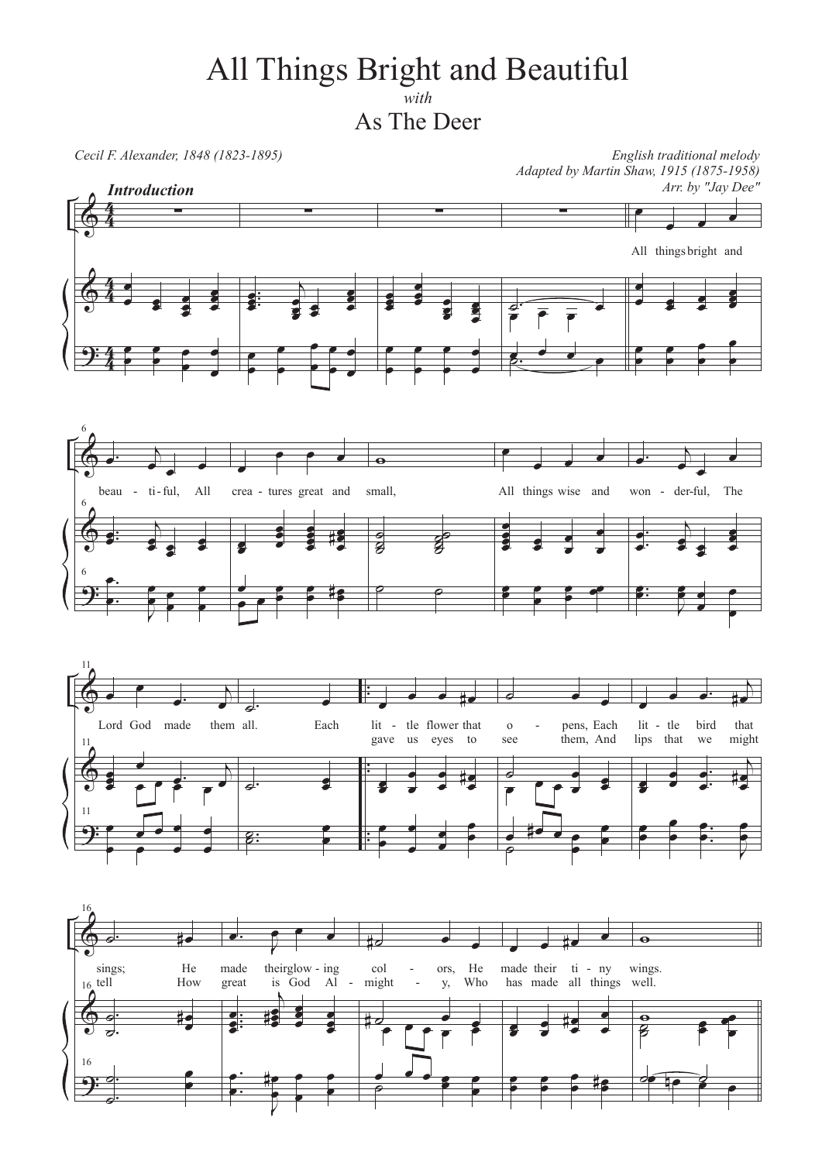## All Things Bright and Beautiful  $with$

As The Deer

Cecil F. Alexander, 1848 (1823-1895)

English traditional melody Adapted by Martin Shaw, 1915 (1875-1958) Arr. by "Jay Dee"







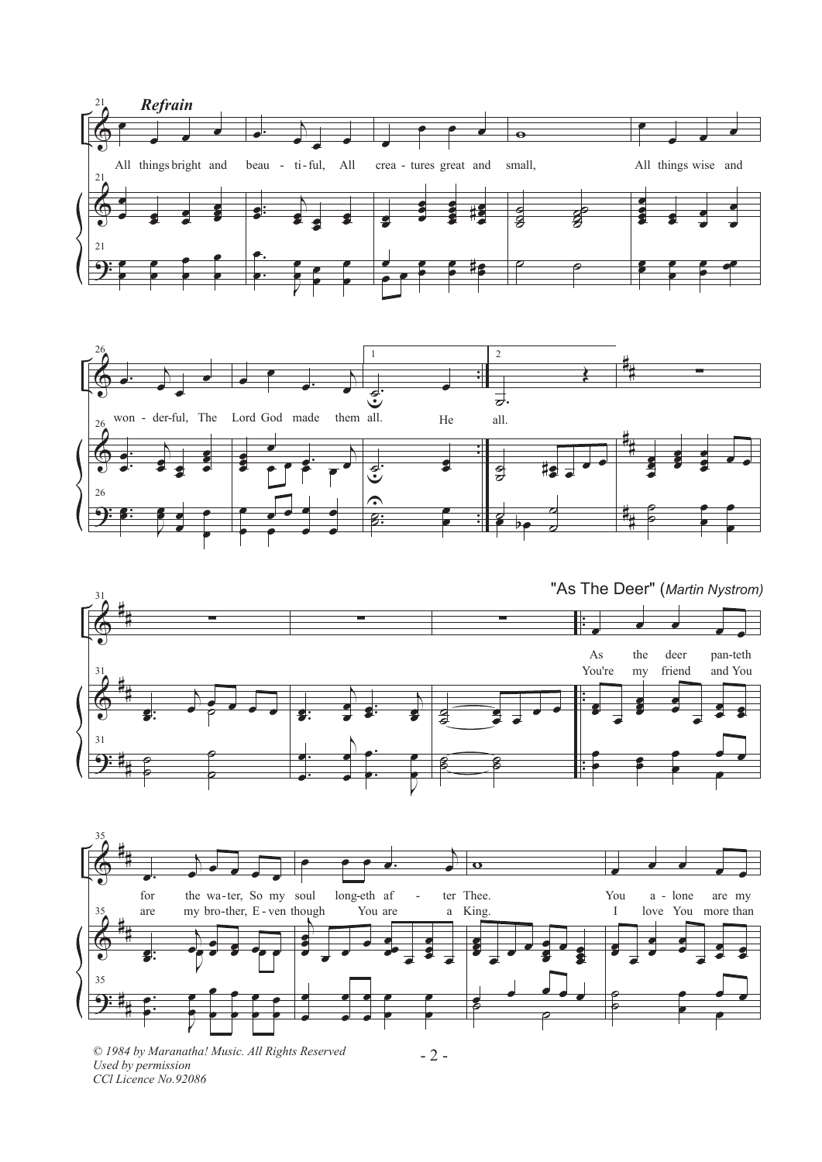







© 1984 by Maranatha! Music. All Rights Reserved Used by permission CCl Licence No.92086